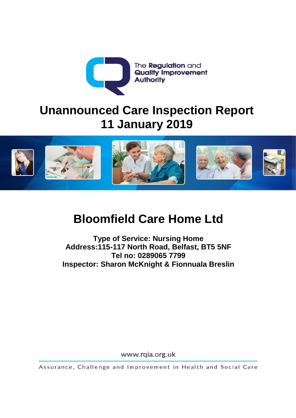

# **Unannounced Care Inspection Report 11 January 2019**



# **Bloomfield Care Home Ltd**

**Type of Service: Nursing Home Address:115-117 North Road, Belfast, BT5 5NF Tel no: 0289065 7799 Inspector: Sharon McKnight & Fionnuala Breslin**

www.rqia.org.uk

Assurance, Challenge and Improvement in Health and Social Care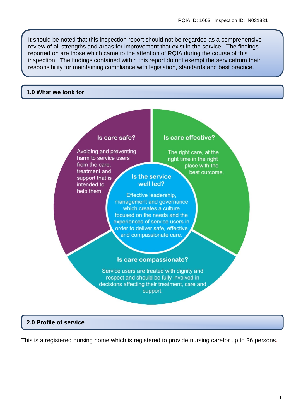It should be noted that this inspection report should not be regarded as a comprehensive review of all strengths and areas for improvement that exist in the service. The findings reported on are those which came to the attention of RQIA during the course of this inspection. The findings contained within this report do not exempt the servicefrom their responsibility for maintaining compliance with legislation, standards and best practice.

#### **1.0 What we look for**

#### Is care safe? Is care effective? Avoiding and preventing The right care, at the harm to service users right time in the right from the care. place with the treatment and best outcome. **Is the service** support that is well led? intended to help them. Effective leadership. management and governance which creates a culture focused on the needs and the experiences of service users in order to deliver safe, effective and compassionate care. Is care compassionate? Service users are treated with dignity and respect and should be fully involved in decisions affecting their treatment, care and support.

#### **2.0 Profile of service**

This is a registered nursing home which is registered to provide nursing carefor up to 36 persons.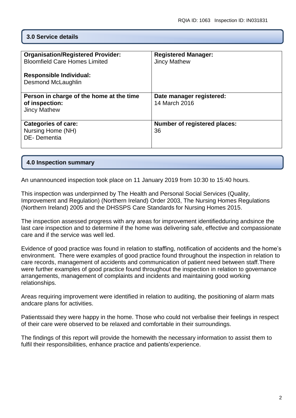#### **3.0 Service details**

| <b>Organisation/Registered Provider:</b> | <b>Registered Manager:</b>          |
|------------------------------------------|-------------------------------------|
| <b>Bloomfield Care Homes Limited</b>     | <b>Jincy Mathew</b>                 |
|                                          |                                     |
| <b>Responsible Individual:</b>           |                                     |
|                                          |                                     |
| Desmond McLaughlin                       |                                     |
|                                          |                                     |
| Person in charge of the home at the time | Date manager registered:            |
| of inspection:                           | 14 March 2016                       |
|                                          |                                     |
| <b>Jincy Mathew</b>                      |                                     |
|                                          |                                     |
| <b>Categories of care:</b>               | <b>Number of registered places:</b> |
|                                          | 36                                  |
| Nursing Home (NH)                        |                                     |
| DE-Dementia                              |                                     |
|                                          |                                     |
|                                          |                                     |

#### **4.0 Inspection summary**

An unannounced inspection took place on 11 January 2019 from 10:30 to 15:40 hours.

This inspection was underpinned by The Health and Personal Social Services (Quality, Improvement and Regulation) (Northern Ireland) Order 2003, The Nursing Homes Regulations (Northern Ireland) 2005 and the DHSSPS Care Standards for Nursing Homes 2015.

The inspection assessed progress with any areas for improvement identifiedduring andsince the last care inspection and to determine if the home was delivering safe, effective and compassionate care and if the service was well led.

Evidence of good practice was found in relation to staffing, notification of accidents and the home's environment. There were examples of good practice found throughout the inspection in relation to care records, management of accidents and communication of patient need between staff.There were further examples of good practice found throughout the inspection in relation to governance arrangements, management of complaints and incidents and maintaining good working relationships.

Areas requiring improvement were identified in relation to auditing, the positioning of alarm mats andcare plans for activities.

Patientssaid they were happy in the home. Those who could not verbalise their feelings in respect of their care were observed to be relaxed and comfortable in their surroundings.

The findings of this report will provide the homewith the necessary information to assist them to fulfil their responsibilities, enhance practice and patients'experience.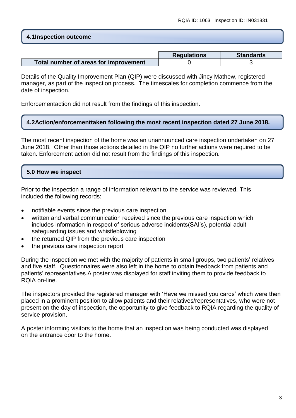#### **4.1Inspection outcome**

|                                       | <b>Regulations</b> | <b>Standards</b> |
|---------------------------------------|--------------------|------------------|
| Total number of areas for improvement |                    |                  |

Details of the Quality Improvement Plan (QIP) were discussed with Jincy Mathew, registered manager, as part of the inspection process. The timescales for completion commence from the date of inspection.

Enforcementaction did not result from the findings of this inspection.

#### **4.2Action/enforcementtaken following the most recent inspection dated 27 June 2018.**

The most recent inspection of the home was an unannounced care inspection undertaken on 27 June 2018. Other than those actions detailed in the QIP no further actions were required to be taken. Enforcement action did not result from the findings of this inspection.

# **5.0 How we inspect**

Prior to the inspection a range of information relevant to the service was reviewed. This included the following records:

- notifiable events since the previous care inspection
- written and verbal communication received since the previous care inspection which includes information in respect of serious adverse incidents(SAI's), potential adult safeguarding issues and whistleblowing
- the returned QIP from the previous care inspection
- the previous care inspection report

During the inspection we met with the majority of patients in small groups, two patients' relatives and five staff. Questionnaires were also left in the home to obtain feedback from patients and patients' representatives.A poster was displayed for staff inviting them to provide feedback to RQIA on-line.

The inspectors provided the registered manager with 'Have we missed you cards' which were then placed in a prominent position to allow patients and their relatives/representatives, who were not present on the day of inspection, the opportunity to give feedback to RQIA regarding the quality of service provision.

A poster informing visitors to the home that an inspection was being conducted was displayed on the entrance door to the home.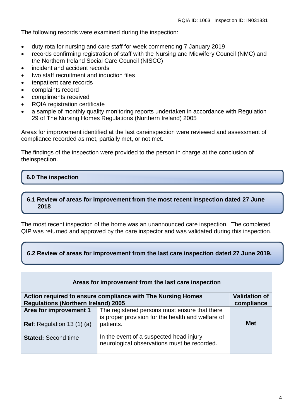The following records were examined during the inspection:

- duty rota for nursing and care staff for week commencing 7 January 2019
- records confirming registration of staff with the Nursing and Midwifery Council (NMC) and the Northern Ireland Social Care Council (NISCC)
- incident and accident records
- two staff recruitment and induction files
- tenpatient care records
- complaints record
- compliments received
- RQIA registration certificate
- a sample of monthly quality monitoring reports undertaken in accordance with Regulation 29 of The Nursing Homes Regulations (Northern Ireland) 2005

Areas for improvement identified at the last careinspection were reviewed and assessment of compliance recorded as met, partially met, or not met.

The findings of the inspection were provided to the person in charge at the conclusion of theinspection.

# **6.0 The inspection**

#### **6.1 Review of areas for improvement from the most recent inspection dated 27 June 2018**

The most recent inspection of the home was an unannounced care inspection. The completed QIP was returned and approved by the care inspector and was validated during this inspection.

#### **6.2 Review of areas for improvement from the last care inspection dated 27 June 2019.**

|                                                              | Areas for improvement from the last care inspection                                                             |                      |
|--------------------------------------------------------------|-----------------------------------------------------------------------------------------------------------------|----------------------|
|                                                              | Action required to ensure compliance with The Nursing Homes                                                     | <b>Validation of</b> |
| <b>Regulations (Northern Ireland) 2005</b>                   |                                                                                                                 | compliance           |
| Area for improvement 1<br><b>Ref:</b> Regulation 13 $(1)(a)$ | The registered persons must ensure that there<br>is proper provision for the health and welfare of<br>patients. | <b>Met</b>           |
| <b>Stated: Second time</b>                                   | In the event of a suspected head injury<br>neurological observations must be recorded.                          |                      |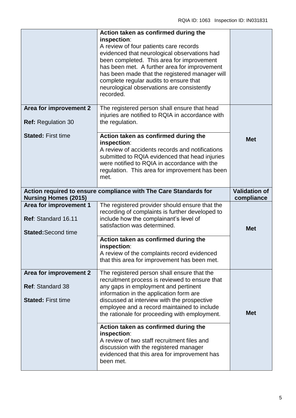|                                                                                | Action taken as confirmed during the<br>inspection:<br>A review of four patients care records<br>evidenced that neurological observations had<br>been completed. This area for improvement<br>has been met. A further area for improvement<br>has been made that the registered manager will<br>complete regular audits to ensure that<br>neurological observations are consistently<br>recorded. |                                    |
|--------------------------------------------------------------------------------|---------------------------------------------------------------------------------------------------------------------------------------------------------------------------------------------------------------------------------------------------------------------------------------------------------------------------------------------------------------------------------------------------|------------------------------------|
| Area for improvement 2<br><b>Ref: Regulation 30</b>                            | The registered person shall ensure that head<br>injuries are notified to RQIA in accordance with<br>the regulation.                                                                                                                                                                                                                                                                               |                                    |
| <b>Stated: First time</b>                                                      | Action taken as confirmed during the<br>inspection:<br>A review of accidents records and notifications<br>submitted to RQIA evidenced that head injuries<br>were notified to RQIA in accordance with the<br>regulation. This area for improvement has been<br>met.                                                                                                                                | <b>Met</b>                         |
| <b>Nursing Homes (2015)</b>                                                    | Action required to ensure compliance with The Care Standards for                                                                                                                                                                                                                                                                                                                                  | <b>Validation of</b><br>compliance |
|                                                                                |                                                                                                                                                                                                                                                                                                                                                                                                   |                                    |
| Area for improvement 1<br>Ref: Standard 16.11<br><b>Stated:</b> Second time    | The registered provider should ensure that the<br>recording of complaints is further developed to<br>include how the complainant's level of<br>satisfaction was determined.                                                                                                                                                                                                                       | <b>Met</b>                         |
|                                                                                | Action taken as confirmed during the<br>inspection:<br>A review of the complaints record evidenced<br>that this area for improvement has been met.                                                                                                                                                                                                                                                |                                    |
| Area for improvement 2<br><b>Ref: Standard 38</b><br><b>Stated: First time</b> | The registered person shall ensure that the<br>recruitment process is reviewed to ensure that<br>any gaps in employment and pertinent<br>information in the application form are<br>discussed at interview with the prospective<br>employee and a record maintained to include<br>the rationale for proceeding with employment.                                                                   | <b>Met</b>                         |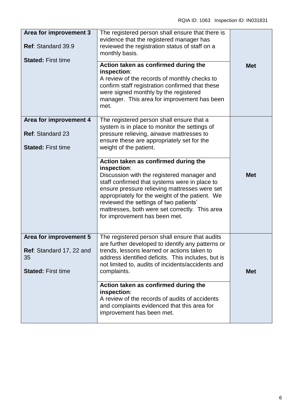| Area for improvement 3<br>Ref: Standard 39.9<br><b>Stated: First time</b>             | The registered person shall ensure that there is<br>evidence that the registered manager has<br>reviewed the registration status of staff on a<br>monthly basis.                                                                                                                                                                                                                    |            |
|---------------------------------------------------------------------------------------|-------------------------------------------------------------------------------------------------------------------------------------------------------------------------------------------------------------------------------------------------------------------------------------------------------------------------------------------------------------------------------------|------------|
|                                                                                       | Action taken as confirmed during the<br>inspection:<br>A review of the records of monthly checks to<br>confirm staff registration confirmed that these<br>were signed monthly by the registered<br>manager. This area for improvement has been<br>met.                                                                                                                              | <b>Met</b> |
| Area for improvement 4<br><b>Ref: Standard 23</b><br><b>Stated: First time</b>        | The registered person shall ensure that a<br>system is in place to monitor the settings of<br>pressure relieving, airwave mattresses to<br>ensure these are appropriately set for the<br>weight of the patient.                                                                                                                                                                     |            |
|                                                                                       | Action taken as confirmed during the<br>inspection:<br>Discussion with the registered manager and<br>staff confirmed that systems were in place to<br>ensure pressure relieving mattresses were set<br>appropriately for the weight of the patient. We<br>reviewed the settings of two patients'<br>mattresses, both were set correctly. This area<br>for improvement has been met. | <b>Met</b> |
| Area for improvement 5<br>Ref: Standard 17, 22 and<br>35<br><b>Stated: First time</b> | The registered person shall ensure that audits<br>are further developed to identify any patterns or<br>trends, lessons learned or actions taken to<br>address identified deficits. This includes, but is<br>not limited to, audits of incidents/accidents and<br>complaints.                                                                                                        | <b>Met</b> |
|                                                                                       | Action taken as confirmed during the<br>inspection:<br>A review of the records of audits of accidents<br>and complaints evidenced that this area for<br>improvement has been met.                                                                                                                                                                                                   |            |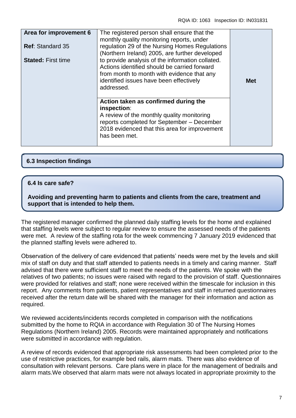| Area for improvement 6<br><b>Ref: Standard 35</b><br><b>Stated: First time</b> | The registered person shall ensure that the<br>monthly quality monitoring reports, under<br>regulation 29 of the Nursing Homes Regulations<br>(Northern Ireland) 2005, are further developed<br>to provide analysis of the information collated. |            |
|--------------------------------------------------------------------------------|--------------------------------------------------------------------------------------------------------------------------------------------------------------------------------------------------------------------------------------------------|------------|
|                                                                                | Actions identified should be carried forward<br>from month to month with evidence that any<br>identified issues have been effectively<br>addressed.                                                                                              | <b>Met</b> |
|                                                                                | Action taken as confirmed during the<br>inspection:<br>A review of the monthly quality monitoring<br>reports completed for September - December<br>2018 evidenced that this area for improvement<br>has been met.                                |            |

# **6.3 Inspection findings**

#### **6.4 Is care safe?**

**Avoiding and preventing harm to patients and clients from the care, treatment and support that is intended to help them.**

The registered manager confirmed the planned daily staffing levels for the home and explained that staffing levels were subject to regular review to ensure the assessed needs of the patients were met. A review of the staffing rota for the week commencing 7 January 2019 evidenced that the planned staffing levels were adhered to.

Observation of the delivery of care evidenced that patients' needs were met by the levels and skill mix of staff on duty and that staff attended to patients needs in a timely and caring manner. Staff advised that there were sufficient staff to meet the needs of the patients. We spoke with the relatives of two patients; no issues were raised with regard to the provision of staff. Questionnaires were provided for relatives and staff; none were received within the timescale for inclusion in this report. Any comments from patients, patient representatives and staff in returned questionnaires received after the return date will be shared with the manager for their information and action as required.

We reviewed accidents/incidents records completed in comparison with the notifications submitted by the home to RQIA in accordance with Regulation 30 of The Nursing Homes Regulations (Northern Ireland) 2005. Records were maintained appropriately and notifications were submitted in accordance with regulation.

A review of records evidenced that appropriate risk assessments had been completed prior to the use of restrictive practices, for example bed rails, alarm mats. There was also evidence of consultation with relevant persons. Care plans were in place for the management of bedrails and alarm mats.We observed that alarm mats were not always located in appropriate proximity to the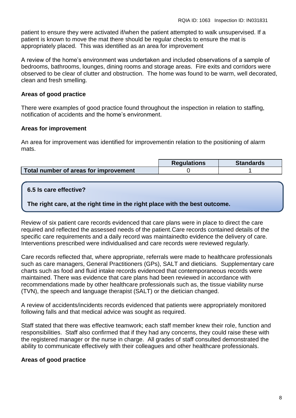patient to ensure they were activated if/when the patient attempted to walk unsupervised. If a patient is known to move the mat there should be regular checks to ensure the mat is appropriately placed. This was identified as an area for improvement

A review of the home's environment was undertaken and included observations of a sample of bedrooms, bathrooms, lounges, dining rooms and storage areas. Fire exits and corridors were observed to be clear of clutter and obstruction. The home was found to be warm, well decorated, clean and fresh smelling.

#### **Areas of good practice**

There were examples of good practice found throughout the inspection in relation to staffing, notification of accidents and the home's environment.

#### **Areas for improvement**

An area for improvement was identified for improvementin relation to the positioning of alarm mats.

|                                       | <b>Requlations</b> | <b>Standards</b> |
|---------------------------------------|--------------------|------------------|
| Total number of areas for improvement |                    |                  |

# **6.5 Is care effective?**

**The right care, at the right time in the right place with the best outcome.**

Review of six patient care records evidenced that care plans were in place to direct the care required and reflected the assessed needs of the patient.Care records contained details of the specific care requirements and a daily record was maintainedto evidence the delivery of care. Interventions prescribed were individualised and care records were reviewed regularly.

Care records reflected that, where appropriate, referrals were made to healthcare professionals such as care managers, General Practitioners (GPs), SALT and dieticians. Supplementary care charts such as food and fluid intake records evidenced that contemporaneous records were maintained. There was evidence that care plans had been reviewed in accordance with recommendations made by other healthcare professionals such as, the tissue viability nurse (TVN), the speech and language therapist (SALT) or the dietician changed.

A review of accidents/incidents records evidenced that patients were appropriately monitored following falls and that medical advice was sought as required.

Staff stated that there was effective teamwork; each staff member knew their role, function and responsibilities. Staff also confirmed that if they had any concerns, they could raise these with the registered manager or the nurse in charge. All grades of staff consulted demonstrated the ability to communicate effectively with their colleagues and other healthcare professionals.

# **Areas of good practice**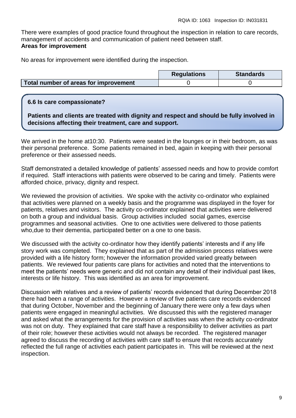There were examples of good practice found throughout the inspection in relation to care records, management of accidents and communication of patient need between staff. **Areas for improvement**

No areas for improvement were identified during the inspection.

|                                       | <b>Regulations</b> | <b>Standards</b> |
|---------------------------------------|--------------------|------------------|
| Total number of areas for improvement |                    |                  |

#### **6.6 Is care compassionate?**

**Patients and clients are treated with dignity and respect and should be fully involved in decisions affecting their treatment, care and support.**

We arrived in the home at10:30. Patients were seated in the lounges or in their bedroom, as was their personal preference. Some patients remained in bed, again in keeping with their personal preference or their assessed needs.

Staff demonstrated a detailed knowledge of patients' assessed needs and how to provide comfort if required. Staff interactions with patients were observed to be caring and timely. Patients were afforded choice, privacy, dignity and respect.

We reviewed the provision of activities. We spoke with the activity co-ordinator who explained that activities were planned on a weekly basis and the programme was displayed in the foyer for patients, relatives and visitors. The activity co-ordinator explained that activities were delivered on both a group and individual basis. Group activities included social games, exercise programmes and seasonal activities. One to one activities were delivered to those patients who,due to their dementia, participated better on a one to one basis.

We discussed with the activity co-ordinator how they identify patients' interests and if any life story work was completed. They explained that as part of the admission process relatives were provided with a life history form; however the information provided varied greatly between patients. We reviewed four patients care plans for activities and noted that the interventions to meet the patients' needs were generic and did not contain any detail of their individual past likes, interests or life history. This was identified as an area for improvement.

Discussion with relatives and a review of patients' records evidenced that during December 2018 there had been a range of activities. However a review of five patients care records evidenced that during October, November and the beginning of January there were only a few days when patients were engaged in meaningful activities. We discussed this with the registered manager and asked what the arrangements for the provision of activities was when the activity co-ordinator was not on duty. They explained that care staff have a responsibility to deliver activities as part of their role; however these activities would not always be recorded. The registered manager agreed to discuss the recording of activities with care staff to ensure that records accurately reflected the full range of activities each patient participates in. This will be reviewed at the next inspection.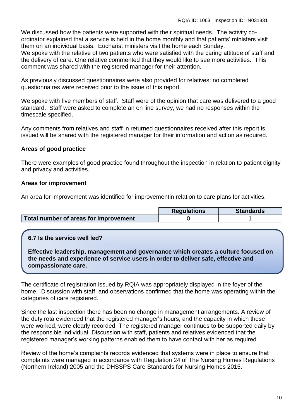We discussed how the patients were supported with their spiritual needs. The activity coordinator explained that a service is held in the home monthly and that patients' ministers visit them on an individual basis. Eucharist ministers visit the home each Sunday. We spoke with the relative of two patients who were satisfied with the caring attitude of staff and the delivery of care. One relative commented that they would like to see more activities. This comment was shared with the registered manager for their attention.

As previously discussed questionnaires were also provided for relatives; no completed questionnaires were received prior to the issue of this report.

We spoke with five members of staff. Staff were of the opinion that care was delivered to a good standard. Staff were asked to complete an on line survey, we had no responses within the timescale specified.

Any comments from relatives and staff in returned questionnaires received after this report is issued will be shared with the registered manager for their information and action as required.

#### **Areas of good practice**

There were examples of good practice found throughout the inspection in relation to patient dignity and privacy and activities.

#### **Areas for improvement**

An area for improvement was identified for improvementin relation to care plans for activities.

|                                       | <b>Requlations</b> | <b>Standards</b> |
|---------------------------------------|--------------------|------------------|
| Total number of areas for improvement |                    |                  |

# **6.7 Is the service well led?**

**Effective leadership, management and governance which creates a culture focused on the needs and experience of service users in order to deliver safe, effective and compassionate care.**

The certificate of registration issued by RQIA was appropriately displayed in the foyer of the home. Discussion with staff, and observations confirmed that the home was operating within the categories of care registered.

Since the last inspection there has been no change in management arrangements. A review of the duty rota evidenced that the registered manager's hours, and the capacity in which these were worked, were clearly recorded. The registered manager continues to be supported daily by the responsible individual. Discussion with staff, patients and relatives evidenced that the registered manager's working patterns enabled them to have contact with her as required.

Review of the home's complaints records evidenced that systems were in place to ensure that complaints were managed in accordance with Regulation 24 of The Nursing Homes Regulations (Northern Ireland) 2005 and the DHSSPS Care Standards for Nursing Homes 2015.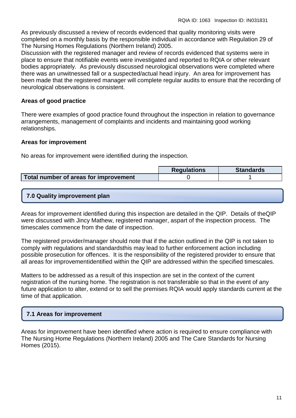As previously discussed a review of records evidenced that quality monitoring visits were completed on a monthly basis by the responsible individual in accordance with Regulation 29 of The Nursing Homes Regulations (Northern Ireland) 2005.

Discussion with the registered manager and review of records evidenced that systems were in place to ensure that notifiable events were investigated and reported to RQIA or other relevant bodies appropriately. As previously discussed neurological observations were completed where there was an unwitnessed fall or a suspected/actual head injury. An area for improvement has been made that the registered manager will complete regular audits to ensure that the recording of neurological observations is consistent.

# **Areas of good practice**

There were examples of good practice found throughout the inspection in relation to governance arrangements, management of complaints and incidents and maintaining good working relationships.

# **Areas for improvement**

No areas for improvement were identified during the inspection.

|                                       | <b>Requlations</b> | <b>Standards</b> |
|---------------------------------------|--------------------|------------------|
| Total number of areas for improvement |                    |                  |

# **7.0 Quality improvement plan**

Areas for improvement identified during this inspection are detailed in the QIP. Details of theQIP were discussed with Jincy Mathew, registered manager, aspart of the inspection process. The timescales commence from the date of inspection.

The registered provider/manager should note that if the action outlined in the QIP is not taken to comply with regulations and standardsthis may lead to further enforcement action including possible prosecution for offences. It is the responsibility of the registered provider to ensure that all areas for improvementidentified within the QIP are addressed within the specified timescales.

Matters to be addressed as a result of this inspection are set in the context of the current registration of the nursing home. The registration is not transferable so that in the event of any future application to alter, extend or to sell the premises RQIA would apply standards current at the time of that application.

# **7.1 Areas for improvement**

Areas for improvement have been identified where action is required to ensure compliance with The Nursing Home Regulations (Northern Ireland) 2005 and The Care Standards for Nursing Homes (2015).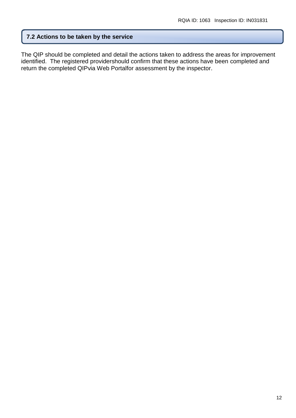#### **7.2 Actions to be taken by the service**

The QIP should be completed and detail the actions taken to address the areas for improvement identified. The registered providershould confirm that these actions have been completed and return the completed QIPvia Web Portalfor assessment by the inspector.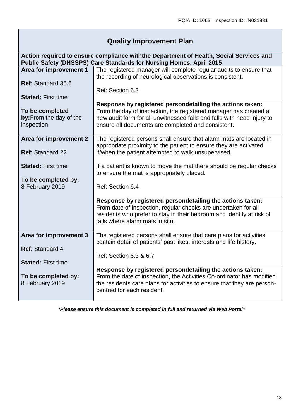# **Quality Improvement Plan**

|                           | Action required to ensure compliance withthe Department of Health, Social Services and<br>Public Safety (DHSSPS) Care Standards for Nursing Homes, April 2015 |
|---------------------------|---------------------------------------------------------------------------------------------------------------------------------------------------------------|
| Area for improvement 1    | The registered manager will complete regular audits to ensure that                                                                                            |
|                           | the recording of neurological observations is consistent.                                                                                                     |
|                           |                                                                                                                                                               |
| Ref: Standard 35.6        |                                                                                                                                                               |
|                           | Ref: Section 6.3                                                                                                                                              |
| <b>Stated: First time</b> |                                                                                                                                                               |
|                           |                                                                                                                                                               |
|                           | Response by registered persondetailing the actions taken:                                                                                                     |
| To be completed           | From the day of inspection, the registered manager has created a                                                                                              |
| by: From the day of the   | new audit form for all unwitnessed falls and falls with head injury to                                                                                        |
| inspection                | ensure all documents are completed and consistent.                                                                                                            |
|                           |                                                                                                                                                               |
|                           |                                                                                                                                                               |
| Area for improvement 2    | The registered persons shall ensure that alarm mats are located in                                                                                            |
|                           | appropriate proximity to the patient to ensure they are activated                                                                                             |
| <b>Ref: Standard 22</b>   | if/when the patient attempted to walk unsupervised.                                                                                                           |
|                           |                                                                                                                                                               |
|                           |                                                                                                                                                               |
| <b>Stated: First time</b> | If a patient is known to move the mat there should be regular checks                                                                                          |
|                           | to ensure the mat is appropriately placed.                                                                                                                    |
| To be completed by:       |                                                                                                                                                               |
|                           |                                                                                                                                                               |
| 8 February 2019           | Ref: Section 6.4                                                                                                                                              |
|                           |                                                                                                                                                               |
|                           | Response by registered persondetailing the actions taken:                                                                                                     |
|                           | From date of inspection, regular checks are undertaken for all                                                                                                |
|                           | residents who prefer to stay in their bedroom and identify at risk of                                                                                         |
|                           |                                                                                                                                                               |
|                           | falls where alarm mats in situ.                                                                                                                               |
|                           |                                                                                                                                                               |
| Area for improvement 3    | The registered persons shall ensure that care plans for activities                                                                                            |
|                           | contain detail of patients' past likes, interests and life history.                                                                                           |
|                           |                                                                                                                                                               |
| <b>Ref: Standard 4</b>    |                                                                                                                                                               |
|                           | Ref: Section 6.3 & 6.7                                                                                                                                        |
| <b>Stated: First time</b> |                                                                                                                                                               |
|                           | Response by registered persondetailing the actions taken:                                                                                                     |
|                           |                                                                                                                                                               |
| To be completed by:       | From the date of inspection, the Activities Co-ordinator has modified                                                                                         |
| 8 February 2019           | the residents care plans for activities to ensure that they are person-                                                                                       |
|                           | centred for each resident.                                                                                                                                    |
|                           |                                                                                                                                                               |
|                           |                                                                                                                                                               |

*\*Please ensure this document is completed in full and returned via Web Portal\**